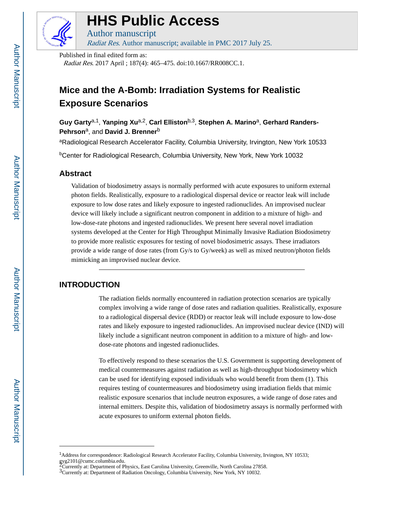

# **HHS Public Access**

Author manuscript Radiat Res. Author manuscript; available in PMC 2017 July 25.

Published in final edited form as:

Radiat Res. 2017 April ; 187(4): 465–475. doi:10.1667/RR008CC.1.

# **Mice and the A-Bomb: Irradiation Systems for Realistic Exposure Scenarios**

Guy Garty<sup>a,1</sup>, Yanping Xu<sup>a,2</sup>, Carl Elliston<sup>b,3</sup>, Stephen A. Marino<sup>a</sup>, Gerhard Randers-**Pehrson**a, and **David J. Brenner**<sup>b</sup>

aRadiological Research Accelerator Facility, Columbia University, Irvington, New York 10533

<sup>b</sup>Center for Radiological Research, Columbia University, New York, New York 10032

# **Abstract**

Validation of biodosimetry assays is normally performed with acute exposures to uniform external photon fields. Realistically, exposure to a radiological dispersal device or reactor leak will include exposure to low dose rates and likely exposure to ingested radionuclides. An improvised nuclear device will likely include a significant neutron component in addition to a mixture of high- and low-dose-rate photons and ingested radionuclides. We present here several novel irradiation systems developed at the Center for High Throughput Minimally Invasive Radiation Biodosimetry to provide more realistic exposures for testing of novel biodosimetric assays. These irradiators provide a wide range of dose rates (from Gy/s to Gy/week) as well as mixed neutron/photon fields mimicking an improvised nuclear device.

# **INTRODUCTION**

The radiation fields normally encountered in radiation protection scenarios are typically complex involving a wide range of dose rates and radiation qualities. Realistically, exposure to a radiological dispersal device (RDD) or reactor leak will include exposure to low-dose rates and likely exposure to ingested radionuclides. An improvised nuclear device (IND) will likely include a significant neutron component in addition to a mixture of high- and lowdose-rate photons and ingested radionuclides.

To effectively respond to these scenarios the U.S. Government is supporting development of medical countermeasures against radiation as well as high-throughput biodosimetry which can be used for identifying exposed individuals who would benefit from them (1). This requires testing of countermeasures and biodosimetry using irradiation fields that mimic realistic exposure scenarios that include neutron exposures, a wide range of dose rates and internal emitters. Despite this, validation of biodosimetry assays is normally performed with acute exposures to uniform external photon fields.

<sup>1</sup>Address for correspondence: Radiological Research Accelerator Facility, Columbia University, Irvington, NY 10533; gyg2101@cumc.columbia.edu.

<sup>2</sup>Currently at: Department of Physics, East Carolina University, Greenville, North Carolina 27858.

<sup>3</sup>Currently at: Department of Radiation Oncology, Columbia University, New York, NY 10032.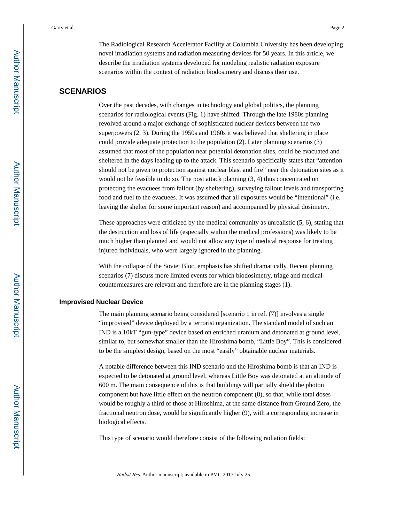The Radiological Research Accelerator Facility at Columbia University has been developing novel irradiation systems and radiation measuring devices for 50 years. In this article, we describe the irradiation systems developed for modeling realistic radiation exposure scenarios within the context of radiation biodosimetry and discuss their use.

# **SCENARIOS**

Over the past decades, with changes in technology and global politics, the planning scenarios for radiological events (Fig. 1) have shifted: Through the late 1980s planning revolved around a major exchange of sophisticated nuclear devices between the two superpowers (2, 3). During the 1950s and 1960s it was believed that sheltering in place could provide adequate protection to the population (2). Later planning scenarios (3) assumed that most of the population near potential detonation sites, could be evacuated and sheltered in the days leading up to the attack. This scenario specifically states that "attention should not be given to protection against nuclear blast and fire" near the detonation sites as it would not be feasible to do so. The post attack planning (3, 4) thus concentrated on protecting the evacuees from fallout (by sheltering), surveying fallout levels and transporting food and fuel to the evacuees. It was assumed that all exposures would be "intentional" (i.e. leaving the shelter for some important reason) and accompanied by physical dosimetry.

These approaches were criticized by the medical community as unrealistic (5, 6), stating that the destruction and loss of life (especially within the medical professions) was likely to be much higher than planned and would not allow any type of medical response for treating injured individuals, who were largely ignored in the planning.

With the collapse of the Soviet Bloc, emphasis has shifted dramatically. Recent planning scenarios (7) discuss more limited events for which biodosimetry, triage and medical countermeasures are relevant and therefore are in the planning stages (1).

#### **Improvised Nuclear Device**

The main planning scenario being considered [scenario 1 in ref. (7)] involves a single "improvised" device deployed by a terrorist organization. The standard model of such an IND is a 10kT "gun-type" device based on enriched uranium and detonated at ground level, similar to, but somewhat smaller than the Hiroshima bomb, "Little Boy". This is considered to be the simplest design, based on the most "easily" obtainable nuclear materials.

A notable difference between this IND scenario and the Hiroshima bomb is that an IND is expected to be detonated at ground level, whereas Little Boy was detonated at an altitude of 600 m. The main consequence of this is that buildings will partially shield the photon component but have little effect on the neutron component (8), so that, while total doses would be roughly a third of those at Hiroshima, at the same distance from Ground Zero, the fractional neutron dose, would be significantly higher (9), with a corresponding increase in biological effects.

This type of scenario would therefore consist of the following radiation fields: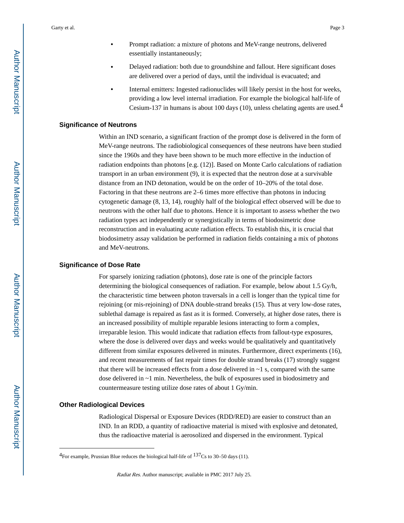- **•** Delayed radiation: both due to groundshine and fallout. Here significant doses are delivered over a period of days, until the individual is evacuated; and
- **•** Internal emitters: Ingested radionuclides will likely persist in the host for weeks, providing a low level internal irradiation. For example the biological half-life of Cesium-137 in humans is about 100 days (10), unless chelating agents are used.<sup>4</sup>

#### **Significance of Neutrons**

Within an IND scenario, a significant fraction of the prompt dose is delivered in the form of MeV-range neutrons. The radiobiological consequences of these neutrons have been studied since the 1960s and they have been shown to be much more effective in the induction of radiation endpoints than photons [e.g. (12)]. Based on Monte Carlo calculations of radiation transport in an urban environment (9), it is expected that the neutron dose at a survivable distance from an IND detonation, would be on the order of 10–20% of the total dose. Factoring in that these neutrons are 2–6 times more effective than photons in inducing cytogenetic damage (8, 13, 14), roughly half of the biological effect observed will be due to neutrons with the other half due to photons. Hence it is important to assess whether the two radiation types act independently or synergistically in terms of biodosimetric dose reconstruction and in evaluating acute radiation effects. To establish this, it is crucial that biodosimetry assay validation be performed in radiation fields containing a mix of photons and MeV-neutrons.

#### **Significance of Dose Rate**

For sparsely ionizing radiation (photons), dose rate is one of the principle factors determining the biological consequences of radiation. For example, below about 1.5 Gy/h, the characteristic time between photon traversals in a cell is longer than the typical time for rejoining (or mis-rejoining) of DNA double-strand breaks (15). Thus at very low-dose rates, sublethal damage is repaired as fast as it is formed. Conversely, at higher dose rates, there is an increased possibility of multiple reparable lesions interacting to form a complex, irreparable lesion. This would indicate that radiation effects from fallout-type exposures, where the dose is delivered over days and weeks would be qualitatively and quantitatively different from similar exposures delivered in minutes. Furthermore, direct experiments (16), and recent measurements of fast repair times for double strand breaks (17) strongly suggest that there will be increased effects from a dose delivered in  $\sim$  1 s, compared with the same dose delivered in ~1 min. Nevertheless, the bulk of exposures used in biodosimetry and countermeasure testing utilize dose rates of about 1 Gy/min.

#### **Other Radiological Devices**

Radiological Dispersal or Exposure Devices (RDD/RED) are easier to construct than an IND. In an RDD, a quantity of radioactive material is mixed with explosive and detonated, thus the radioactive material is aerosolized and dispersed in the environment. Typical

<sup>&</sup>lt;sup>4</sup>For example, Prussian Blue reduces the biological half-life of  $137Cs$  to 30–50 days (11).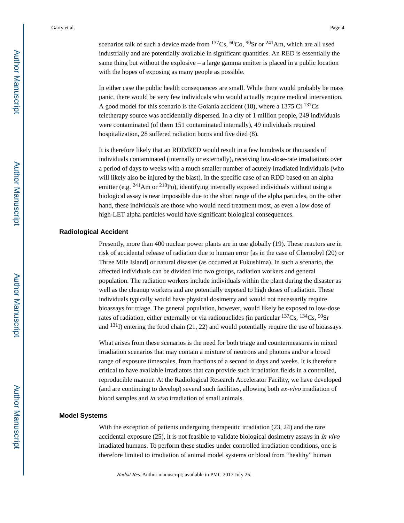scenarios talk of such a device made from  $^{137}Cs$ ,  $^{60}Co$ ,  $^{90}Sr$  or  $^{241}Am$ , which are all used industrially and are potentially available in significant quantities. An RED is essentially the same thing but without the explosive – a large gamma emitter is placed in a public location with the hopes of exposing as many people as possible.

In either case the public health consequences are small. While there would probably be mass panic, there would be very few individuals who would actually require medical intervention. A good model for this scenario is the Goiania accident (18), where a 1375 Ci  $^{137}Cs$ teletherapy source was accidentally dispersed. In a city of 1 million people, 249 individuals were contaminated (of them 151 contaminated internally), 49 individuals required hospitalization, 28 suffered radiation burns and five died (8).

It is therefore likely that an RDD/RED would result in a few hundreds or thousands of individuals contaminated (internally or externally), receiving low-dose-rate irradiations over a period of days to weeks with a much smaller number of acutely irradiated individuals (who will likely also be injured by the blast). In the specific case of an RDD based on an alpha emitter (e.g.  $^{241}$ Am or  $^{210}$ Po), identifying internally exposed individuals without using a biological assay is near impossible due to the short range of the alpha particles, on the other hand, these individuals are those who would need treatment most, as even a low dose of high-LET alpha particles would have significant biological consequences.

#### **Radiological Accident**

Presently, more than 400 nuclear power plants are in use globally (19). These reactors are in risk of accidental release of radiation due to human error [as in the case of Chernobyl (20) or Three Mile Island] or natural disaster (as occurred at Fukushima). In such a scenario, the affected individuals can be divided into two groups, radiation workers and general population. The radiation workers include individuals within the plant during the disaster as well as the cleanup workers and are potentially exposed to high doses of radiation. These individuals typically would have physical dosimetry and would not necessarily require bioassays for triage. The general population, however, would likely be exposed to low-dose rates of radiation, either externally or via radionuclides (in particular  $^{137}Cs$ ,  $^{134}Cs$ ,  $^{90}Sr$ and  $^{131}$ I) entering the food chain (21, 22) and would potentially require the use of bioassays.

What arises from these scenarios is the need for both triage and countermeasures in mixed irradiation scenarios that may contain a mixture of neutrons and photons and/or a broad range of exposure timescales, from fractions of a second to days and weeks. It is therefore critical to have available irradiators that can provide such irradiation fields in a controlled, reproducible manner. At the Radiological Research Accelerator Facility, we have developed (and are continuing to develop) several such facilities, allowing both ex-vivo irradiation of blood samples and in vivo irradiation of small animals.

#### **Model Systems**

With the exception of patients undergoing therapeutic irradiation (23, 24) and the rare accidental exposure (25), it is not feasible to validate biological dosimetry assays in in vivo irradiated humans. To perform these studies under controlled irradiation conditions, one is therefore limited to irradiation of animal model systems or blood from "healthy" human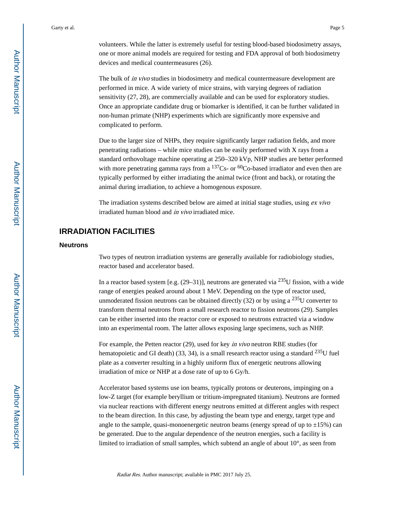volunteers. While the latter is extremely useful for testing blood-based biodosimetry assays, one or more animal models are required for testing and FDA approval of both biodosimetry devices and medical countermeasures (26).

The bulk of *in vivo* studies in biodosimetry and medical countermeasure development are performed in mice. A wide variety of mice strains, with varying degrees of radiation sensitivity (27, 28), are commercially available and can be used for exploratory studies. Once an appropriate candidate drug or biomarker is identified, it can be further validated in non-human primate (NHP) experiments which are significantly more expensive and complicated to perform.

Due to the larger size of NHPs, they require significantly larger radiation fields, and more penetrating radiations – while mice studies can be easily performed with X rays from a standard orthovoltage machine operating at 250–320 kVp, NHP studies are better performed with more penetrating gamma rays from a  $137Cs$ - or  $60Co$ -based irradiator and even then are typically performed by either irradiating the animal twice (front and back), or rotating the animal during irradiation, to achieve a homogenous exposure.

The irradiation systems described below are aimed at initial stage studies, using ex vivo irradiated human blood and in vivo irradiated mice.

# **IRRADIATION FACILITIES**

#### **Neutrons**

Two types of neutron irradiation systems are generally available for radiobiology studies, reactor based and accelerator based.

In a reactor based system [e.g.  $(29-31)$ ], neutrons are generated via  $^{235}$ U fission, with a wide range of energies peaked around about 1 MeV. Depending on the type of reactor used, unmoderated fission neutrons can be obtained directly  $(32)$  or by using a <sup>235</sup>U converter to transform thermal neutrons from a small research reactor to fission neutrons (29). Samples can be either inserted into the reactor core or exposed to neutrons extracted via a window into an experimental room. The latter allows exposing large specimens, such as NHP.

For example, the Petten reactor (29), used for key in vivo neutron RBE studies (for hematopoietic and GI death) (33, 34), is a small research reactor using a standard  $^{235}$ U fuel plate as a converter resulting in a highly uniform flux of energetic neutrons allowing irradiation of mice or NHP at a dose rate of up to 6 Gy/h.

Accelerator based systems use ion beams, typically protons or deuterons, impinging on a low-Z target (for example beryllium or tritium-impregnated titanium). Neutrons are formed via nuclear reactions with different energy neutrons emitted at different angles with respect to the beam direction. In this case, by adjusting the beam type and energy, target type and angle to the sample, quasi-monoenergetic neutron beams (energy spread of up to  $\pm 15\%$ ) can be generated. Due to the angular dependence of the neutron energies, such a facility is limited to irradiation of small samples, which subtend an angle of about 10°, as seen from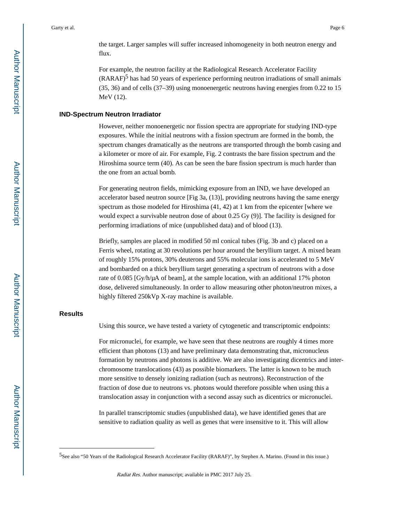the target. Larger samples will suffer increased inhomogeneity in both neutron energy and flux.

For example, the neutron facility at the Radiological Research Accelerator Facility  $(RARAF)^5$  has had 50 years of experience performing neutron irradiations of small animals (35, 36) and of cells (37–39) using monoenergetic neutrons having energies from 0.22 to 15 MeV (12).

#### **IND-Spectrum Neutron Irradiator**

However, neither monoenergetic nor fission spectra are appropriate for studying IND-type exposures. While the initial neutrons with a fission spectrum are formed in the bomb, the spectrum changes dramatically as the neutrons are transported through the bomb casing and a kilometer or more of air. For example, Fig. 2 contrasts the bare fission spectrum and the Hiroshima source term (40). As can be seen the bare fission spectrum is much harder than the one from an actual bomb.

For generating neutron fields, mimicking exposure from an IND, we have developed an accelerator based neutron source [Fig 3a, (13)], providing neutrons having the same energy spectrum as those modeled for Hiroshima (41, 42) at 1 km from the epicenter [where we would expect a survivable neutron dose of about 0.25 Gy (9)]. The facility is designed for performing irradiations of mice (unpublished data) and of blood (13).

Briefly, samples are placed in modified 50 ml conical tubes (Fig. 3b and c) placed on a Ferris wheel, rotating at 30 revolutions per hour around the beryllium target. A mixed beam of roughly 15% protons, 30% deuterons and 55% molecular ions is accelerated to 5 MeV and bombarded on a thick beryllium target generating a spectrum of neutrons with a dose rate of 0.085 [Gy/h/μA of beam], at the sample location, with an additional 17% photon dose, delivered simultaneously. In order to allow measuring other photon/neutron mixes, a highly filtered 250kVp X-ray machine is available.

#### **Results**

Using this source, we have tested a variety of cytogenetic and transcriptomic endpoints:

For micronuclei, for example, we have seen that these neutrons are roughly 4 times more efficient than photons (13) and have preliminary data demonstrating that, micronucleus formation by neutrons and photons is additive. We are also investigating dicentrics and interchromosome translocations (43) as possible biomarkers. The latter is known to be much more sensitive to densely ionizing radiation (such as neutrons). Reconstruction of the fraction of dose due to neutrons vs. photons would therefore possible when using this a translocation assay in conjunction with a second assay such as dicentrics or micronuclei.

In parallel transcriptomic studies (unpublished data), we have identified genes that are sensitive to radiation quality as well as genes that were insensitive to it. This will allow

<sup>5</sup>See also "50 Years of the Radiological Research Accelerator Facility (RARAF)", by Stephen A. Marino. (Found in this issue.)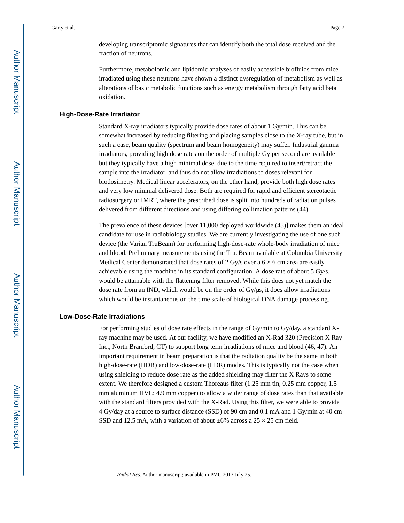developing transcriptomic signatures that can identify both the total dose received and the fraction of neutrons.

Furthermore, metabolomic and lipidomic analyses of easily accessible biofluids from mice irradiated using these neutrons have shown a distinct dysregulation of metabolism as well as alterations of basic metabolic functions such as energy metabolism through fatty acid beta oxidation.

#### **High-Dose-Rate Irradiator**

Standard X-ray irradiators typically provide dose rates of about 1 Gy/min. This can be somewhat increased by reducing filtering and placing samples close to the X-ray tube, but in such a case, beam quality (spectrum and beam homogeneity) may suffer. Industrial gamma irradiators, providing high dose rates on the order of multiple Gy per second are available but they typically have a high minimal dose, due to the time required to insert/retract the sample into the irradiator, and thus do not allow irradiations to doses relevant for biodosimetry. Medical linear accelerators, on the other hand, provide both high dose rates and very low minimal delivered dose. Both are required for rapid and efficient stereotactic radiosurgery or IMRT, where the prescribed dose is split into hundreds of radiation pulses delivered from different directions and using differing collimation patterns (44).

The prevalence of these devices [over 11,000 deployed worldwide (45)] makes them an ideal candidate for use in radiobiology studies. We are currently investigating the use of one such device (the Varian TruBeam) for performing high-dose-rate whole-body irradiation of mice and blood. Preliminary measurements using the TrueBeam available at Columbia University Medical Center demonstrated that dose rates of 2 Gy/s over a  $6 \times 6$  cm area are easily achievable using the machine in its standard configuration. A dose rate of about 5 Gy/s, would be attainable with the flattening filter removed. While this does not yet match the dose rate from an IND, which would be on the order of  $Gy/\mu s$ , it does allow irradiations which would be instantaneous on the time scale of biological DNA damage processing.

#### **Low-Dose-Rate Irradiations**

For performing studies of dose rate effects in the range of Gy/min to Gy/day, a standard Xray machine may be used. At our facility, we have modified an X-Rad 320 (Precision X Ray Inc., North Branford, CT) to support long term irradiations of mice and blood (46, 47). An important requirement in beam preparation is that the radiation quality be the same in both high-dose-rate (HDR) and low-dose-rate (LDR) modes. This is typically not the case when using shielding to reduce dose rate as the added shielding may filter the X Rays to some extent. We therefore designed a custom Thoreaus filter (1.25 mm tin, 0.25 mm copper, 1.5 mm aluminum HVL: 4.9 mm copper) to allow a wider range of dose rates than that available with the standard filters provided with the X-Rad. Using this filter, we were able to provide 4 Gy/day at a source to surface distance (SSD) of 90 cm and 0.1 mA and 1 Gy/min at 40 cm SSD and 12.5 mA, with a variation of about  $\pm 6\%$  across a 25  $\times$  25 cm field.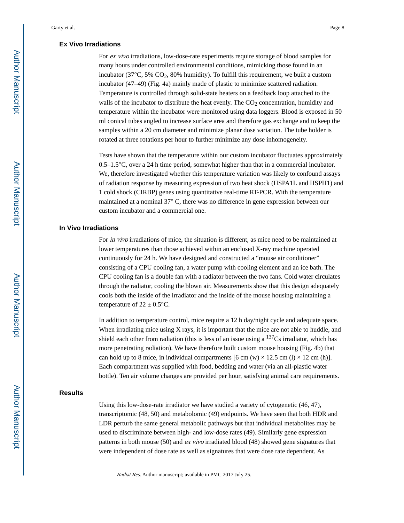#### **Ex Vivo Irradiations**

For ex vivo irradiations, low-dose-rate experiments require storage of blood samples for many hours under controlled environmental conditions, mimicking those found in an incubator (37 $\degree$ C, 5% CO<sub>2</sub>, 80% humidity). To fulfill this requirement, we built a custom incubator (47–49) (Fig. 4a) mainly made of plastic to minimize scattered radiation. Temperature is controlled through solid-state heaters on a feedback loop attached to the walls of the incubator to distribute the heat evenly. The  $CO<sub>2</sub>$  concentration, humidity and temperature within the incubator were monitored using data loggers. Blood is exposed in 50 ml conical tubes angled to increase surface area and therefore gas exchange and to keep the samples within a 20 cm diameter and minimize planar dose variation. The tube holder is rotated at three rotations per hour to further minimize any dose inhomogeneity.

Tests have shown that the temperature within our custom incubator fluctuates approximately 0.5–1.5°C, over a 24 h time period, somewhat higher than that in a commercial incubator. We, therefore investigated whether this temperature variation was likely to confound assays of radiation response by measuring expression of two heat shock (HSPA1L and HSPH1) and 1 cold shock (CIRBP) genes using quantitative real-time RT-PCR. With the temperature maintained at a nominal 37° C, there was no difference in gene expression between our custom incubator and a commercial one.

#### **In Vivo Irradiations**

For in vivo irradiations of mice, the situation is different, as mice need to be maintained at lower temperatures than those achieved within an enclosed X-ray machine operated continuously for 24 h. We have designed and constructed a "mouse air conditioner" consisting of a CPU cooling fan, a water pump with cooling element and an ice bath. The CPU cooling fan is a double fan with a radiator between the two fans. Cold water circulates through the radiator, cooling the blown air. Measurements show that this design adequately cools both the inside of the irradiator and the inside of the mouse housing maintaining a temperature of  $22 \pm 0.5$ °C.

In addition to temperature control, mice require a 12 h day/night cycle and adequate space. When irradiating mice using X rays, it is important that the mice are not able to huddle, and shield each other from radiation (this is less of an issue using a  $137Cs$  irradiator, which has more penetrating radiation). We have therefore built custom mouse housing (Fig. 4b) that can hold up to 8 mice, in individual compartments  $[6 \text{ cm } (w) \times 12.5 \text{ cm } (l) \times 12 \text{ cm } (h)]$ . Each compartment was supplied with food, bedding and water (via an all-plastic water bottle). Ten air volume changes are provided per hour, satisfying animal care requirements.

#### **Results**

Using this low-dose-rate irradiator we have studied a variety of cytogenetic (46, 47), transcriptomic (48, 50) and metabolomic (49) endpoints. We have seen that both HDR and LDR perturb the same general metabolic pathways but that individual metabolites may be used to discriminate between high- and low-dose rates (49). Similarly gene expression patterns in both mouse (50) and ex vivo irradiated blood (48) showed gene signatures that were independent of dose rate as well as signatures that were dose rate dependent. As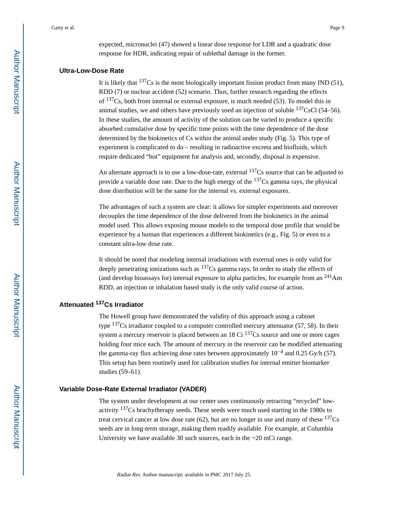#### **Ultra-Low-Dose Rate**

It is likely that  $137Cs$  is the most biologically important fission product from many IND (51), RDD (7) or nuclear accident (52) scenario. Thus, further research regarding the effects of  $137Cs$ , both from internal or external exposure, is much needed (53). To model this in animal studies, we and others have previously used an injection of soluble  $137CsCl$  (54–56). In these studies, the amount of activity of the solution can be varied to produce a specific absorbed cumulative dose by specific time points with the time dependence of the dose determined by the biokinetics of Cs within the animal under study (Fig. 5). This type of experiment is complicated to do – resulting in radioactive excreta and biofluids, which require dedicated "hot" equipment for analysis and, secondly, disposal is expensive.

An alternate approach is to use a low-dose-rate, external  $137Cs$  source that can be adjusted to provide a variable dose rate. Due to the high energy of the  $137Cs$  gamma rays, the physical dose distribution will be the same for the internal vs. external exposures.

The advantages of such a system are clear: it allows for simpler experiments and moreover decouples the time dependence of the dose delivered from the biokinetics in the animal model used. This allows exposing mouse models to the temporal dose profile that would be experience by a human that experiences a different biokinetics (e.g., Fig. 5) or even to a constant ultra-low dose rate.

It should be noted that modeling internal irradiations with external ones is only valid for deeply penetrating ionizations such as  $137Cs$  gamma rays. In order to study the effects of (and develop bioassays for) internal exposure to alpha particles, for example from an  $^{241}$ Am RDD, an injection or inhalation based study is the only valid course of action.

## **Attenuated 137Cs Irradiator**

The Howell group have demonstrated the validity of this approach using a cabinet type  $137Cs$  irradiator coupled to a computer controlled mercury attenuator (57, 58). In their system a mercury reservoir is placed between an  $18 \text{ Ci }^{137}\text{Cs}$  source and one or more cages holding four mice each. The amount of mercury in the reservoir can be modified attenuating the gamma-ray flux achieving dose rates between approximately  $10^{-4}$  and 0.25 Gy/h (57). This setup has been routinely used for calibration studies for internal emitter biomarker studies (59–61).

#### **Variable Dose-Rate External Irradiator (VADER)**

The system under development at our center uses continuously retracting "recycled" lowactivity 137Cs brachytherapy seeds. These seeds were much used starting in the 1980s to treat cervical cancer at low dose rate (62), but are no longer in use and many of these  $137Cs$ seeds are in long-term storage, making them readily available. For example, at Columbia University we have available 30 such sources, each in the  $\sim$ 20 mCi range.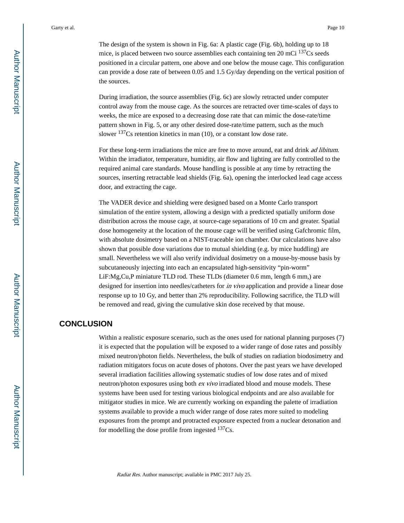The design of the system is shown in Fig. 6a: A plastic cage (Fig. 6b), holding up to 18 mice, is placed between two source assemblies each containing ten 20 mCi  $137Cs$  seeds positioned in a circular pattern, one above and one below the mouse cage. This configuration can provide a dose rate of between 0.05 and 1.5 Gy/day depending on the vertical position of the sources.

During irradiation, the source assemblies (Fig. 6c) are slowly retracted under computer control away from the mouse cage. As the sources are retracted over time-scales of days to weeks, the mice are exposed to a decreasing dose rate that can mimic the dose-rate/time pattern shown in Fig. 5, or any other desired dose-rate/time pattern, such as the much slower <sup>137</sup>Cs retention kinetics in man (10), or a constant low dose rate.

For these long-term irradiations the mice are free to move around, eat and drink *ad libitum*. Within the irradiator, temperature, humidity, air flow and lighting are fully controlled to the required animal care standards. Mouse handling is possible at any time by retracting the sources, inserting retractable lead shields (Fig. 6a), opening the interlocked lead cage access door, and extracting the cage.

The VADER device and shielding were designed based on a Monte Carlo transport simulation of the entire system, allowing a design with a predicted spatially uniform dose distribution across the mouse cage, at source-cage separations of 10 cm and greater. Spatial dose homogeneity at the location of the mouse cage will be verified using Gafchromic film, with absolute dosimetry based on a NIST-traceable ion chamber. Our calculations have also shown that possible dose variations due to mutual shielding (e.g. by mice huddling) are small. Nevertheless we will also verify individual dosimetry on a mouse-by-mouse basis by subcutaneously injecting into each an encapsulated high-sensitivity "pin-worm" LiF:Mg,Cu,P miniature TLD rod. These TLDs (diameter 0.6 mm, length 6 mm,) are designed for insertion into needles/catheters for *in vivo* application and provide a linear dose response up to 10 Gy, and better than 2% reproducibility. Following sacrifice, the TLD will be removed and read, giving the cumulative skin dose received by that mouse.

### **CONCLUSION**

Within a realistic exposure scenario, such as the ones used for national planning purposes (7) it is expected that the population will be exposed to a wider range of dose rates and possibly mixed neutron/photon fields. Nevertheless, the bulk of studies on radiation biodosimetry and radiation mitigators focus on acute doses of photons. Over the past years we have developed several irradiation facilities allowing systematic studies of low dose rates and of mixed neutron/photon exposures using both ex vivo irradiated blood and mouse models. These systems have been used for testing various biological endpoints and are also available for mitigator studies in mice. We are currently working on expanding the palette of irradiation systems available to provide a much wider range of dose rates more suited to modeling exposures from the prompt and protracted exposure expected from a nuclear detonation and for modelling the dose profile from ingested  $137Cs$ .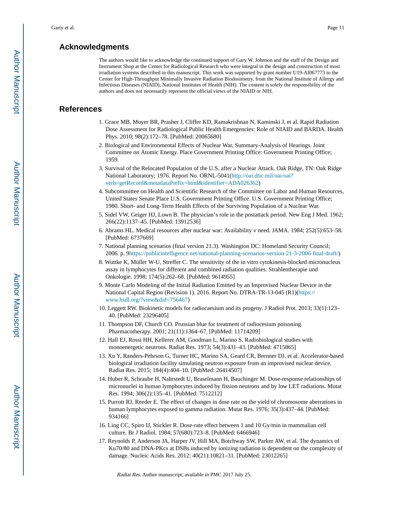# **Acknowledgments**

The authors would like to acknowledge the continued support of Gary W. Johnson and the staff of the Design and Instrument Shop at the Center for Radiological Research who were integral in the design and construction of most irradiation systems described in this manuscript. This work was supported by grant number U19-AI067773 to the Center for High-Throughput Minimally Invasive Radiation Biodosimetry, from the National Institute of Allergy and Infectious Diseases (NIAID), National Institutes of Health (NIH). The content is solely the responsibility of the authors and does not necessarily represent the official views of the NIAID or NIH.

# **References**

- 1. Grace MB, Moyer BR, Prasher J, Cliffer KD, Ramakrishnan N, Kaminski J, et al. Rapid Radiation Dose Assessment for Radiological Public Health Emergencies: Role of NIAID and BARDA. Health Phys. 2010; 98(2):172–78. [PubMed: 20065680]
- 2. Biological and Environmental Effects of Nuclear War, Summary-Analysis of Hearings. Joint Committee on Atomic Energy. Place Government Printing Office: Government Printing Office; 1959.
- 3. Survival of the Relocated Population of the U.S. after a Nuclear Attack. Oak Ridge, TN: Oak Ridge National Laboratory; 1976. Report No. ORNL-5041[\(http://oai.dtic.mil/oai/oai?](http://oai.dtic.mil/oai/oai?verb=getRecord&metadataPrefix=html&identifier=ADA026362) [verb=getRecord&metadataPrefix=html&identifier=ADA026362\)](http://oai.dtic.mil/oai/oai?verb=getRecord&metadataPrefix=html&identifier=ADA026362)
- 4. Subcommittee on Health and Scientific Research of the Committee on Labor and Human Resources, United States Senate Place U.S. Government Printing Office. U.S. Government Printing Office; 1980. Short- and Long-Term Health Effects of the Surviving Population of a Nuclear War.
- 5. Sidel VW, Geiger HJ, Lown B. The physician's role in the postattack period. New Eng J Med. 1962; 266(22):1137–45. [PubMed: 13912536]
- 6. Abrams HL. Medical resources after nuclear war: Availability v need. JAMA. 1984; 252(5):653–58. [PubMed: 6737669]
- 7. National planning scenarios (final version 21.3). Washington DC: Homeland Security Council; 2006. p. [9https://publicintelligence.net/national-planning-scenarios-version-21-3-2006-final-draft/\)](https://publicintelligence.net/national-planning-scenarios-version-21-3-2006-final-draft/)
- 8. Wuttke K, Müller W-U, Streffer C. The sensitivity of the in vitro cytokinesis-blocked micronucleus assay in lymphocytes for different and combined radiation qualities. Strahlentherapie und Onkologie. 1998; 174(5):262–68. [PubMed: 9614955]
- 9. Monte Carlo Modeling of the Initial Radiation Emitted by an Improvised Nuclear Device in the National Capital Region (Revision 1). 2016. Report No. DTRA-TR-13-045 (R1)([https://](https://www.hsdl.org/?view&did=756467) [www.hsdl.org/?view&did=756467\)](https://www.hsdl.org/?view&did=756467)
- 10. Leggett RW. Biokinetic models for radiocaesium and its progeny. J Radiol Prot. 2013; 33(1):123– 40. [PubMed: 23296405]
- 11. Thompson DF, Church CO. Prussian blue for treatment of radiocesium poisoning. Pharmacotherapy. 2001; 21(11):1364–67. [PubMed: 11714209]
- 12. Hall EJ, Rossi HH, Kellerer AM, Goodman L, Marino S. Radiobiological studies with monoenergetic neutrons. Radiat Res. 1973; 54(3):431–43. [PubMed: 4715865]
- 13. Xu Y, Randers-Pehrson G, Turner HC, Marino SA, Geard CR, Brenner DJ, et al. Accelerator-based biological irradiation facility simulating neutron exposure from an improvised nuclear device. Radiat Res. 2015; 184(4):404–10. [PubMed: 26414507]
- 14. Huber R, Schraube H, Nahrstedt U, Braselmann H, Bauchinger M. Dose-response relationships of micronuclei in human lymphocytes induced by fission neutrons and by low LET radiations. Mutat Res. 1994; 306(2):135–41. [PubMed: 7512212]
- 15. Purrott RJ, Reeder E. The effect of changes in dose rate on the yield of chromosome aberrations in human lymphocytes exposed to gamma radiation. Mutat Res. 1976; 35(3):437–44. [PubMed: 934166]
- 16. Ling CC, Spiro IJ, Stickler R. Dose-rate effect between 1 and 10 Gy/min in mammalian cell culture. Br J Radiol. 1984; 57(680):723–8. [PubMed: 6466946]
- 17. Reynolds P, Anderson JA, Harper JV, Hill MA, Botchway SW, Parker AW, et al. The dynamics of Ku70/80 and DNA-PKcs at DSBs induced by ionizing radiation is dependent on the complexity of damage. Nucleic Acids Res. 2012; 40(21):10821–31. [PubMed: 23012265]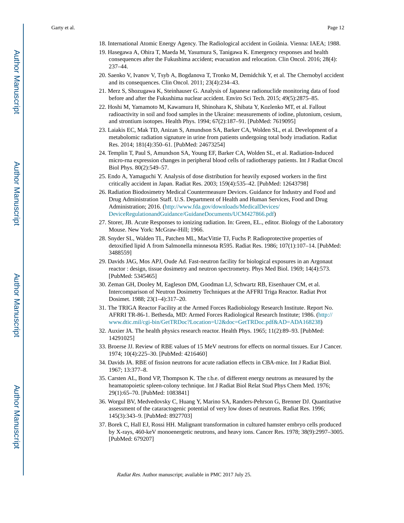- 18. International Atomic Energy Agency. The Radiological accident in Goiânia. Vienna: IAEA; 1988.
- 19. Hasegawa A, Ohira T, Maeda M, Yasumura S, Tanigawa K. Emergency responses and health consequences after the Fukushima accident; evacuation and relocation. Clin Oncol. 2016; 28(4): 237–44.
- 20. Saenko V, Ivanov V, Tsyb A, Bogdanova T, Tronko M, Demidchik Y, et al. The Chernobyl accident and its consequences. Clin Oncol. 2011; 23(4):234–43.
- 21. Merz S, Shozugawa K, Steinhauser G. Analysis of Japanese radionuclide monitoring data of food before and after the Fukushima nuclear accident. Enviro Sci Tech. 2015; 49(5):2875–85.
- 22. Hoshi M, Yamamoto M, Kawamura H, Shinohara K, Shibata Y, Kozlenko MT, et al. Fallout radioactivity in soil and food samples in the Ukraine: measurements of iodine, plutonium, cesium, and strontium isotopes. Health Phys. 1994; 67(2):187–91. [PubMed: 7619095]
- 23. Laiakis EC, Mak TD, Anizan S, Amundson SA, Barker CA, Wolden SL, et al. Development of a metabolomic radiation signature in urine from patients undergoing total body irradiation. Radiat Res. 2014; 181(4):350–61. [PubMed: 24673254]
- 24. Templin T, Paul S, Amundson SA, Young EF, Barker CA, Wolden SL, et al. Radiation-Induced micro-rna expression changes in peripheral blood cells of radiotherapy patients. Int J Radiat Oncol Biol Phys. 80(2):549–57.
- 25. Endo A, Yamaguchi Y. Analysis of dose distribution for heavily exposed workers in the first critically accident in Japan. Radiat Res. 2003; 159(4):535–42. [PubMed: 12643798]
- 26. Radiation Biodosimetry Medical Countermeasure Devices. Guidance for Industry and Food and Drug Administration Staff. U.S. Department of Health and Human Services, Food and Drug Administration; 2016. ([http://www.fda.gov/downloads/MedicalDevices/](http://www.fda.gov/downloads/MedicalDevices/DeviceRegulationandGuidance/GuidaneDocuments/UCM427866.pdf) [DeviceRegulationandGuidance/GuidaneDocuments/UCM427866.pdf](http://www.fda.gov/downloads/MedicalDevices/DeviceRegulationandGuidance/GuidaneDocuments/UCM427866.pdf))
- 27. Storer, JB. Acute Responses to ionizing radiation. In: Green, EL., editor. Biology of the Laboratory Mouse. New York: McGraw-Hill; 1966.
- 28. Snyder SL, Walden TL, Patchen ML, MacVittie TJ, Fuchs P. Radioprotective properties of detoxified lipid A from Salmonella minnesota R595. Radiat Res. 1986; 107(1):107–14. [PubMed: 3488559]
- 29. Davids JAG, Mos APJ, Oude Ad. Fast-neutron facility for biological exposures in an Argonaut reactor : design, tissue dosimetry and neutron spectrometry. Phys Med Biol. 1969; 14(4):573. [PubMed: 5345465]
- 30. Zeman GH, Dooley M, Eagleson DM, Goodman LJ, Schwartz RB, Eisenhauer CM, et al. Intercomparison of Neutron Dosimetry Techniques at the AFFRI Triga Reactor. Radiat Prot Dosimet. 1988; 23(1–4):317–20.
- 31. The TRIGA Reactor Facility at the Armed Forces Radiobiology Research Institute. Report No. AFRRI TR-86-1. Bethesda, MD: Armed Forces Radiological Research Institute; 1986. ([http://](http://www.dtic.mil/cgi-bin/GetTRDoc?Location=U2&doc=GetTRDoc.pdf&AD=ADA168238) [www.dtic.mil/cgi-bin/GetTRDoc?Location=U2&doc=GetTRDoc.pdf&AD=ADA168238\)](http://www.dtic.mil/cgi-bin/GetTRDoc?Location=U2&doc=GetTRDoc.pdf&AD=ADA168238)
- 32. Auxier JA. The health physics research reactor. Health Phys. 1965; 11(2):89–93. [PubMed: 14291025]
- 33. Broerse JJ. Review of RBE values of 15 MeV neutrons for effects on normal tissues. Eur J Cancer. 1974; 10(4):225–30. [PubMed: 4216460]
- 34. Davids JA. RBE of fission neutrons for acute radiation effects in CBA-mice. Int J Radiat Biol. 1967; 13:377–8.
- 35. Carsten AL, Bond VP, Thompson K. The r.b.e. of different energy neutrons as measured by the heamatopoietic spleen-colony technique. Int J Radiat Biol Relat Stud Phys Chem Med. 1976; 29(1):65–70. [PubMed: 1083841]
- 36. Worgul BV, Medvedovsky C, Huang Y, Marino SA, Randers-Pehrson G, Brenner DJ. Quantitative assessment of the cataractogenic potential of very low doses of neutrons. Radiat Res. 1996; 145(3):343–9. [PubMed: 8927703]
- 37. Borek C, Hall EJ, Rossi HH. Malignant transformation in cultured hamster embryo cells produced by X-rays, 460-keV monoenergetic neutrons, and heavy ions. Cancer Res. 1978; 38(9):2997–3005. [PubMed: 679207]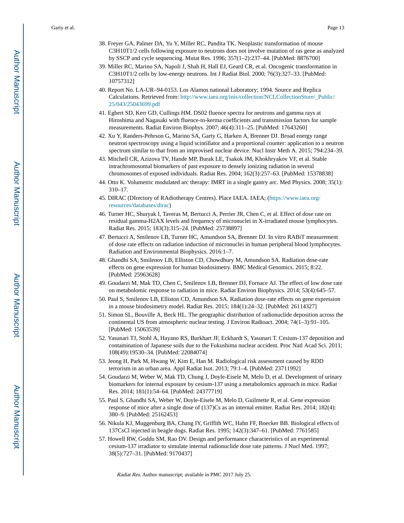- 38. Freyer GA, Palmer DA, Yu Y, Miller RC, Pandita TK. Neoplastic transformation of mouse C3H10T1/2 cells following exposure to neutrons does not involve mutation of ras gene as analyzed by SSCP and cycle sequencing. Mutat Res. 1996; 357(1–2):237–44. [PubMed: 8876700]
- 39. Miller RC, Marino SA, Napoli J, Shah H, Hall EJ, Geard CR, et al. Oncogenic transformation in C3H10T1/2 cells by low-energy neutrons. Int J Radiat Biol. 2000; 76(3):327–33. [PubMed: 10757312]
- 40. Report No. LA-UR–94-0153. Los Alamos national Laboratory; 1994. Source and Replica Calculations. Retrieved from: [http://www.iaea.org/inis/collection/NCLCollectionStore/\\_Public/](http://www.iaea.org/inis/collection/NCLCollectionStore/_Public/25/043/25043699.pdf) [25/043/25043699.pdf](http://www.iaea.org/inis/collection/NCLCollectionStore/_Public/25/043/25043699.pdf)
- 41. Egbert SD, Kerr GD, Cullings HM. DS02 fluence spectra for neutrons and gamma rays at Hiroshima and Nagasaki with fluence-to-kerma coefficients and transmission factors for sample measurements. Radiat Environ Biophys. 2007; 46(4):311–25. [PubMed: 17643260]
- 42. Xu Y, Randers-Pehrson G, Marino SA, Garty G, Harken A, Brenner DJ. Broad energy range neutron spectroscopy using a liquid scintillator and a proportional counter: application to a neutron spectrum similar to that from an improvised nuclear device. Nucl Instr Meth A. 2015; 794:234–39.
- 43. Mitchell CR, Azizova TV, Hande MP, Burak LE, Tsakok JM, Khokhryakov VF, et al. Stable intrachromosomal biomarkers of past exposure to densely ionizing radiation in several chromosomes of exposed individuals. Radiat Res. 2004; 162(3):257–63. [PubMed: 15378838]
- 44. Otto K. Volumetric modulated arc therapy: IMRT in a single gantry arc. Med Physics. 2008; 35(1): 310–17.
- 45. DIRAC (DIrectory of RAdiotherapy Centres). Place IAEA. IAEA; [\(https://www.iaea.org/](https://www.iaea.org/resources/databases/dirac) [resources/databases/dirac](https://www.iaea.org/resources/databases/dirac))
- 46. Turner HC, Shuryak I, Taveras M, Bertucci A, Perrier JR, Chen C, et al. Effect of dose rate on residual gamma-H2AX levels and frequency of micronuclei in X-irradiated mouse lymphocytes. Radiat Res. 2015; 183(3):315–24. [PubMed: 25738897]
- 47. Bertucci A, Smilenov LB, Turner HC, Amundson SA, Brenner DJ. In vitro RABiT measurement of dose rate effects on radiation induction of micronuclei in human peripheral blood lymphocytes. Radiation and Environmental Biophysics. 2016:1–7.
- 48. Ghandhi SA, Smilenov LB, Elliston CD, Chowdhury M, Amundson SA. Radiation dose-rate effects on gene expression for human biodosimetry. BMC Medical Genomics. 2015; 8:22. [PubMed: 25963628]
- 49. Goudarzi M, Mak TD, Chen C, Smilenov LB, Brenner DJ, Fornace AJ. The effect of low dose rate on metabolomic response to radiation in mice. Radiat Environ Biophysics. 2014; 53(4):645–57.
- 50. Paul S, Smilenov LB, Elliston CD, Amundson SA. Radiation dose-rate effects on gene expression in a mouse biodosimetry model. Radiat Res. 2015; 184(1):24–32. [PubMed: 26114327]
- 51. Simon SL, Bouville A, Beck HL. The geographic distribution of radionuclide deposition across the continental US from atmospheric nuclear testing. J Environ Radioact. 2004; 74(1–3):91–105. [PubMed: 15063539]
- 52. Yasunari TJ, Stohl A, Hayano RS, Burkhart JF, Eckhardt S, Yasunari T. Cesium-137 deposition and contamination of Japanese soils due to the Fukushima nuclear accident. Proc Natl Acad Sci. 2011; 108(49):19530–34. [PubMed: 22084074]
- 53. Jeong H, Park M, Hwang W, Kim E, Han M. Radiological risk assessment caused by RDD terrorism in an urban area. Appl Radiat Isot. 2013; 79:1–4. [PubMed: 23711992]
- 54. Goudarzi M, Weber W, Mak TD, Chung J, Doyle-Eisele M, Melo D, et al. Development of urinary biomarkers for internal exposure by cesium-137 using a metabolomics approach in mice. Radiat Res. 2014; 181(1):54–64. [PubMed: 24377719]
- 55. Paul S, Ghandhi SA, Weber W, Doyle-Eisele M, Melo D, Guilmette R, et al. Gene expression response of mice after a single dose of (137)Cs as an internal emitter. Radiat Res. 2014; 182(4): 380–9. [PubMed: 25162453]
- 56. Nikula KJ, Muggenburg BA, Chang IY, Griffith WC, Hahn FF, Boecker BB. Biological effects of 137CsCl injected in beagle dogs. Radiat Res. 1995; 142(3):347–61. [PubMed: 7761585]
- 57. Howell RW, Goddu SM, Rao DV. Design and performance characteristics of an experimental cesium-137 irradiator to simulate internal radionuclide dose rate patterns. J Nucl Med. 1997; 38(5):727–31. [PubMed: 9170437]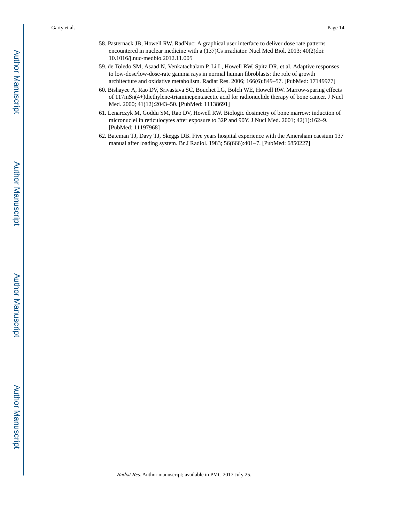- 58. Pasternack JB, Howell RW. RadNuc: A graphical user interface to deliver dose rate patterns encountered in nuclear medicine with a (137)Cs irradiator. Nucl Med Biol. 2013; 40(2)doi: 10.1016/j.nuc-medbio.2012.11.005
- 59. de Toledo SM, Asaad N, Venkatachalam P, Li L, Howell RW, Spitz DR, et al. Adaptive responses to low-dose/low-dose-rate gamma rays in normal human fibroblasts: the role of growth architecture and oxidative metabolism. Radiat Res. 2006; 166(6):849–57. [PubMed: 17149977]
- 60. Bishayee A, Rao DV, Srivastava SC, Bouchet LG, Bolch WE, Howell RW. Marrow-sparing effects of 117mSn(4+)diethylene-triaminepentaacetic acid for radionuclide therapy of bone cancer. J Nucl Med. 2000; 41(12):2043–50. [PubMed: 11138691]
- 61. Lenarczyk M, Goddu SM, Rao DV, Howell RW. Biologic dosimetry of bone marrow: induction of micronuclei in reticulocytes after exposure to 32P and 90Y. J Nucl Med. 2001; 42(1):162–9. [PubMed: 11197968]
- 62. Bateman TJ, Davy TJ, Skeggs DB. Five years hospital experience with the Amersham caesium 137 manual after loading system. Br J Radiol. 1983; 56(666):401–7. [PubMed: 6850227]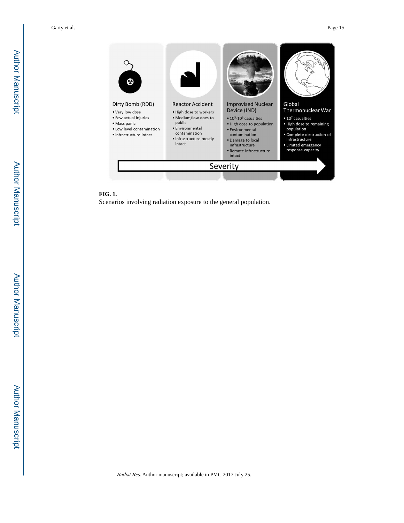

# **FIG. 1.**

Scenarios involving radiation exposure to the general population.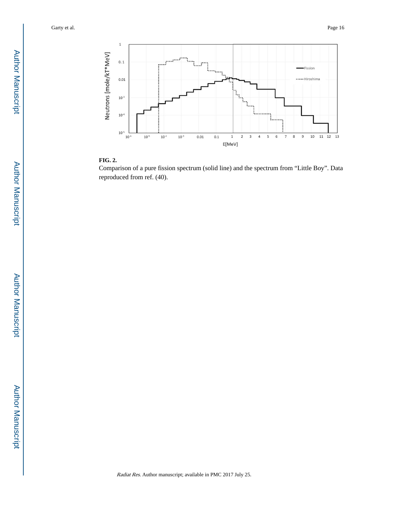



Comparison of a pure fission spectrum (solid line) and the spectrum from "Little Boy". Data reproduced from ref. (40).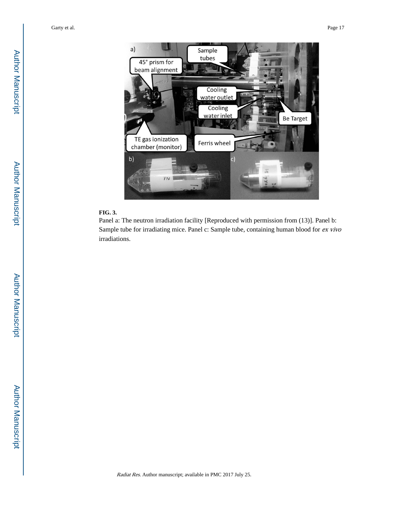

## **FIG. 3.**

Panel a: The neutron irradiation facility [Reproduced with permission from (13)]. Panel b: Sample tube for irradiating mice. Panel c: Sample tube, containing human blood for ex vivo irradiations.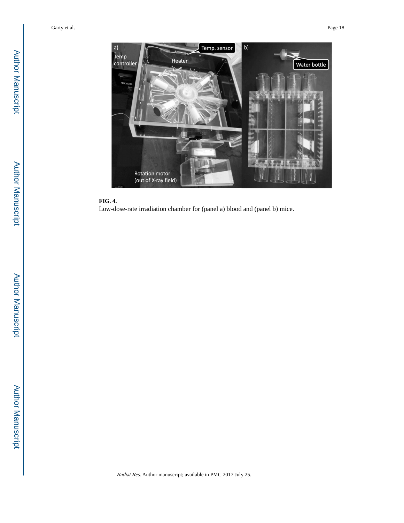

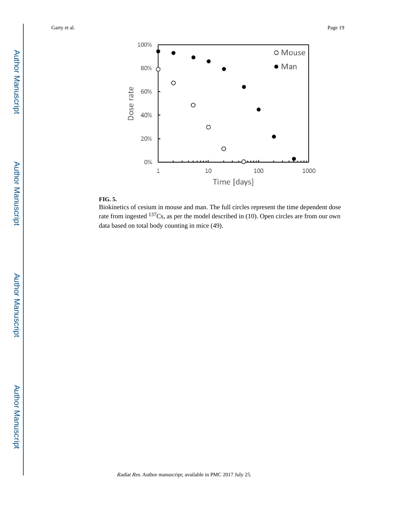

# **FIG. 5.**

Biokinetics of cesium in mouse and man. The full circles represent the time dependent dose rate from ingested <sup>137</sup>Cs, as per the model described in (10). Open circles are from our own data based on total body counting in mice (49).